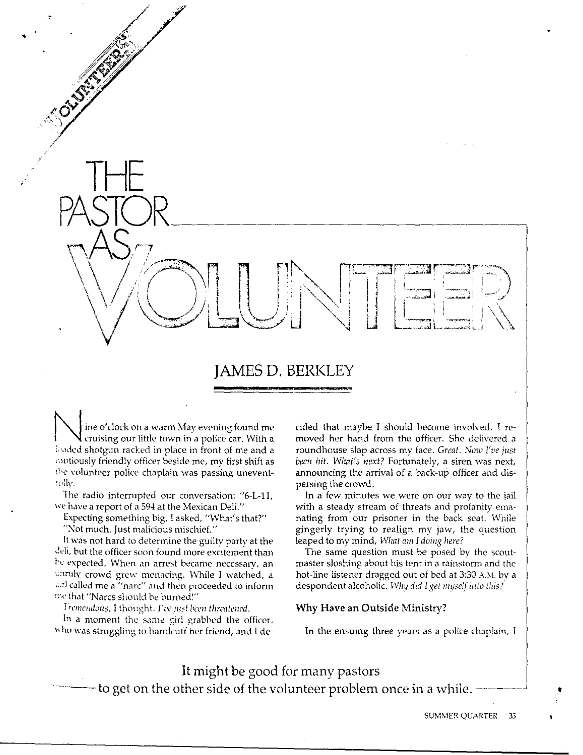# .. **JAMES D. BERKLEY**

I ine o'clock on a warm May evening found me<br>cruising our little town in a police car. With a<br>juvied shotnup racked in place in front of me and a loaded shotgun racked in place in front of me and a ,.,utiously friendly officer beside me, my first shift as the volunteer police chaplain was passing unevent-:tdly.

*!* 

The radio interrupted our conversation: "6-L-11, "e have a report of a 594 at the Mexican Deli."

Expecting something big, 1 asked, "What's that?" "Not much. Just malicious mischief."

It was not hard to determine the guilty party at the deli, but the officer soon found more excitement than he expected. When an arrest became necessary, an unruly crowd grew menacing. While I watched, a and called me a "narc" and then proceeded to inform me that "Narcs should be burned!"

 $I$ 'remendous, I thought. *I've just* been threatened.  $\overline{I}$ In a moment the same girl grabbed the officer, who was struggling to handcuff her friend, and I decided that maybe I should become involved. I removed her hand from the officer. She delivered a roundhouse slap across my face. Great. Now I've just *been hit. What's next?* Fortunately, a siren was next, announcing the arrival of a back-up officer and dispersing the crowd.

In a few minutes we were on our way to the jail with a steady stream of threats and profanity emanating from our prisoner in the back seat. While gingerly trying to realign my jaw, the question leaped lo my mind, *What am* I *doing here?* 

The same question must be posed bv the scoutmaster sloshing about his tent in a rainstorm and the hot-line listener dragged out of bed at 3:30 A.M. by a despondent alcoholic. *Why did I get myself in:o this'* 

## **Why Have an Outside Ministry?**

In the ensuing three years as a police chaplain, I

It might be good for many pastors - to get on the other side of the volunteer problem once in a while.  $\cdot$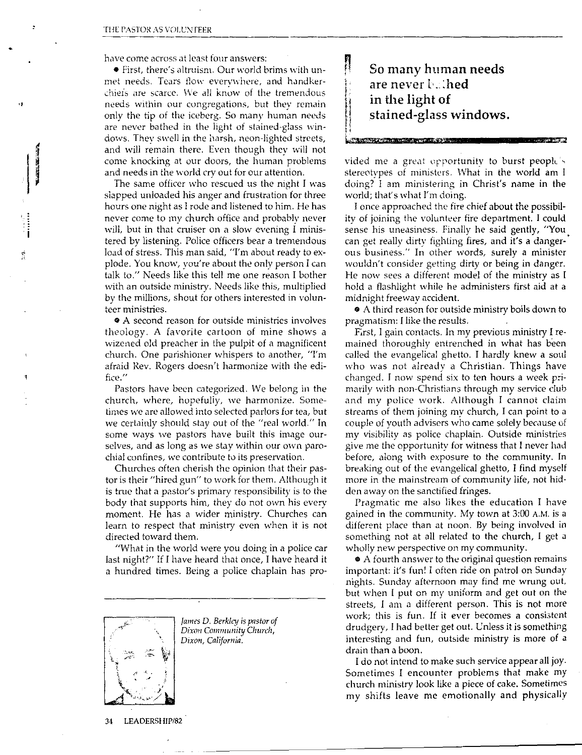,,

have come across at least four answers:

• First, there's altruism. Our world brims with unmet needs. Tears flow everywhere, and handkerchiefs are scarce. We all know of the tremendous needs within our congregations, but they remain only the tip of the iceberg. So many human needs are never bathed in the light of stained-glass windows. Thev swell in the harsh, neon-lighted streets, and will remain there. Even though they will not come knocking at our doors, the human problems and needs in the world cry out for our attention.

The same officer who rescued us the night I was slapped unloaded his anger and frustration for three hours one night as I rode and listened to him. He has never come to my church office and probablv never will, but in that cruiser on a slow evening I ministered by listening. Police officers bear a tremendous load of stress. This man said, "I'm about ready to explode. You know, you're about the only person I can talk to." Needs like this tell me one reason I bother with an outside ministry. Needs like this, multiplied by the millions, shout for others interested in volunteer ministries.

 $\bullet$  A second reason for outside ministries involves theology. A favorite cartoon of mine shows a wizened old preacher in the pulpit of a magnificent church. One parishioner whispers to another, "I'm afraid Rev. Rogers doesn't harmonize with the edifice."

Pastors have been categorized. We belong in the church, where, hopefuliy, we harmonize. Sometimes we are allowed into selected parlors for tea, but we certainly should stay out of the "real world." In some ways we pastors have built this image ourselves, and as long as we stay within our own parochial confines, we contribute to its preservation.

Churches often cherish the opinion that their pastor is their "hired gun" to work for them. Although it is true that a pastor's primary responsibility is to the body that supports him, they do not own his *every*  moment. He has a wider ministry. Churches can learn to respect that ministry even when it is not directed toward them.

"What in the world were you doing in a police car last night?" If I have heard that once, I have heard it a hundred times. Being a police chaplain has pro-



*James D. Berkley is pastor of Dixon Community Church, Dixon, California.* 

n **So many human needs are never t .. :hed in the light of stained-glass windows.** 

Lt?JFIP'li\iP' iR i¥'\Ni£Uh

'

'

vided me a great opportunity to burst people's stereotypes of ministers. What in the world am l doing? I am ministering in Christ's name in the world; that's what I'm doing.

I once approached the fire chief about the possibil· ity of joining the volunteer fire department. I could sense his uneasiness. Finally he said gently, "You. can get really dirty fighting fires, and it's a dangerous business." In other words, surely a minister wouldn't consider getting dirty or being in danger. He now sees a different model of the ministry as I hold a flashlight while he administers first aid at a midnight freeway accident.

• A third reason for outside ministry boils down to pragmatism: I like the results.

F;rst, I gain contacts. In my previous ministry I remained thoroughly entrenched in what has been called the evangelical ghetto. I hardly knew a soul who was not already a Christian. Things have changed. I now spend six to ten hours a week primarily with non-Christians through my service club and my police work. Although I cannot claim streams of them joining my church, I can point to a couple of youth advisers who came solely because of my visibility as police chaplain. Outside ministries give me the opportunity for witness that I never had before, along with exposure to the community. In breaking out of the evangelical ghetto, I find myself more in the mainstream of community life, not hid· den away on the sanctified fringes.

Pragmatic me also likes the education I have gained in the community. My town at 3:00 A.M. is a different place than at noon. By being involved in something not at all related to the church, I get a wholly new perspective on my community.

• A fourth answer to the original question remains important: it's fun! I often ride on patrol on Sunday nights. Sunday afternoon may find me wrung out, but when l put on my uniform and get out on the streets, I am a different person. This is not more work; this is fun. If it ever becomes a consistent drudgery, l had better get out. L'nless it is something interesting and fun, outside ministry is more of a drain than a boon.

I do not intend to make such service appear all joy. Sometimes I encounter problems that make my church ministry look like a piece of cake. Sometimes my shifts leave me emotionally and physically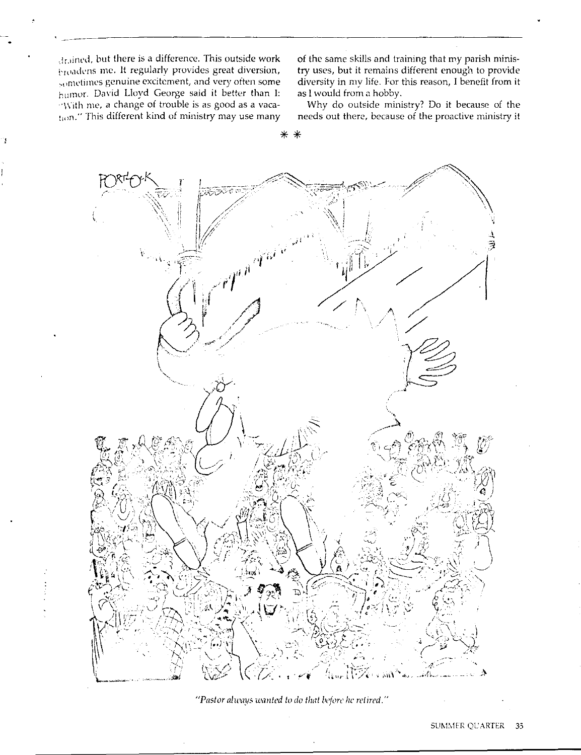drained, but there is a difference. This outside work broadens me. It regularly provides great diversion, sometimes genuine excitement, and very often some humor. David Lloyd George said it better than I: With me, a change of trouble is as good as a vacation." This different kind of ministry may use many

of the same skills and training that my parish ministry uses, but it remains different enough to provide diversity in my life. For this reason, I benefit from it as I would from a hobby.

Why do outside ministry? Do it because of the needs out there, because of the proactive ministry it



∗  $\ast$ 

"Pastor always wanted to do that before he retired."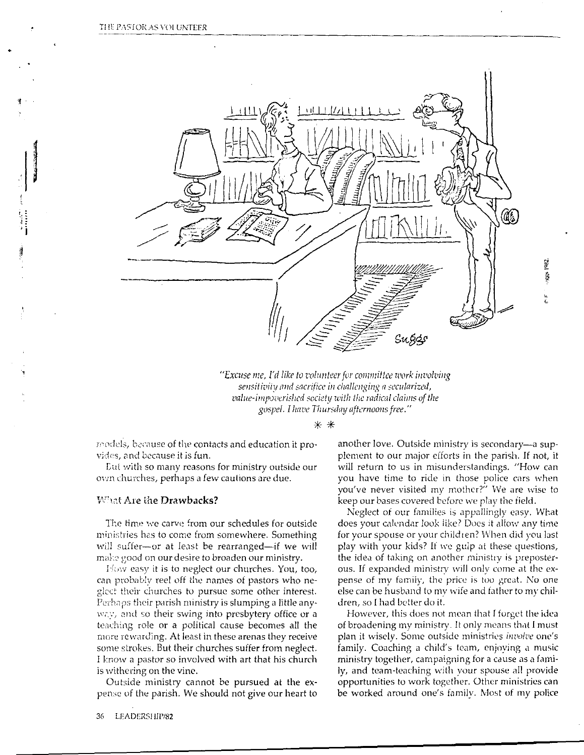THE PASTOR AS VOLUNTEER



"Excuse me, I'd like to volunteer for committee work involving sensitivity and sacrifice in challenging a secularized, value-impoverished society with the radical claims of the gospel. I have Thursday afternoons free."

 $* *$ 

models, because of the contacts and education it provides, and because it is fun.

Lut with so many reasons for ministry outside our own churches, perhaps a few cautions are due.

### What Are the Drawbacks?

The time we carve from our schedules for outside ministries has to come from somewhere. Something will suffer-or at least be rearranged-if we will make good on our desire to broaden our ministry.

How easy it is to neglect our churches. You, too, can probably reel off the names of pastors who neglect their churches to pursue some other interest. Perhaps their parish ministry is slumping a little anyway, and so their swing into presbytery office or a teaching role or a political cause becomes all the more rewarding. At least in these arenas they receive some strokes. But their churches suffer from neglect. I know a pastor so involved with art that his church is withering on the vine.

Outside ministry cannot be pursued at the expense of the parish. We should not give our heart to

another love. Outside ministry is secondary—a supplement to our major efforts in the parish. If not, it will return to us in misunderstandings. "How can you have time to ride in those police cars when you've never visited my mother?" We are wise to keep our bases covered before we play the field.

Neglect of our families is appallingly easy. What does your calendar look like? Does it allow any time for your spouse or your children? When did you last play with your kids? If we gulp at these questions, the idea of taking on another ministry is preposterous. If expanded ministry will only come at the expense of my family, the price is too great. No one else can be husband to my wife and father to my children, so I had better do it.

However, this does not mean that I forget the idea of broadening my ministry. It only means that I must plan it wisely. Some outside ministries *involve* one's family. Coaching a child's team, enjoying a music ministry together, campaigning for a cause as a family, and team-teaching with your spouse all provide opportunities to work together. Other ministries can be worked around one's family. Most of my police